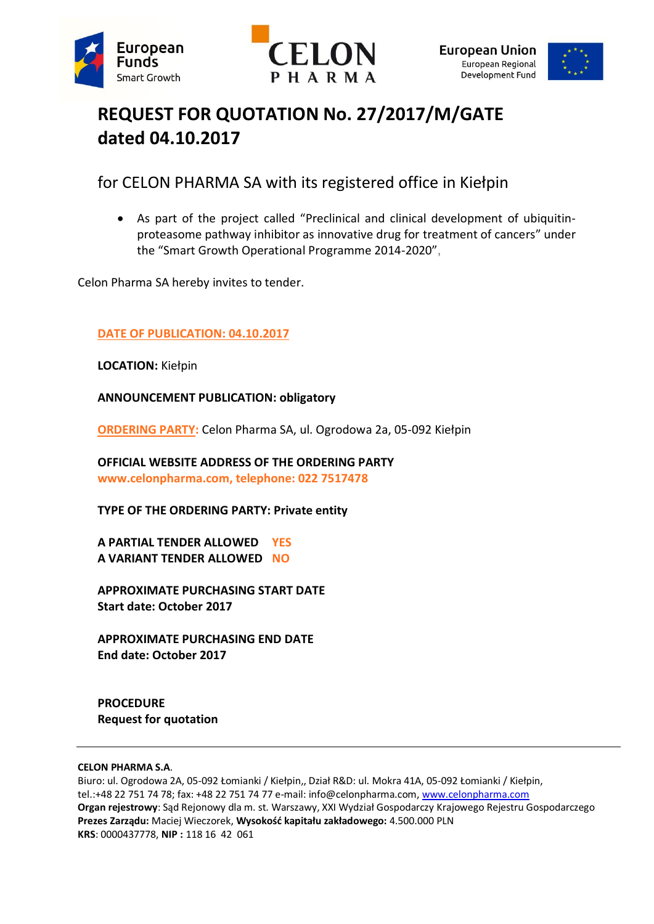





# **REQUEST FOR QUOTATION No. 27/2017/M/GATE dated 04.10.2017**

for CELON PHARMA SA with its registered office in Kiełpin

 As part of the project called "Preclinical and clinical development of ubiquitinproteasome pathway inhibitor as innovative drug for treatment of cancers" under the "Smart Growth Operational Programme 2014-2020",

Celon Pharma SA hereby invites to tender.

# **DATE OF PUBLICATION: 04.10.2017**

**LOCATION:** Kiełpin

**ANNOUNCEMENT PUBLICATION: obligatory**

**ORDERING PARTY:** Celon Pharma SA, ul. Ogrodowa 2a, 05-092 Kiełpin

**OFFICIAL WEBSITE ADDRESS OF THE ORDERING PARTY www.celonpharma.com, telephone: 022 7517478**

**TYPE OF THE ORDERING PARTY: Private entity**

**A PARTIAL TENDER ALLOWED YES A VARIANT TENDER ALLOWED NO**

**APPROXIMATE PURCHASING START DATE Start date: October 2017**

**APPROXIMATE PURCHASING END DATE End date: October 2017**

**PROCEDURE Request for quotation**

#### **CELON PHARMA S.A**.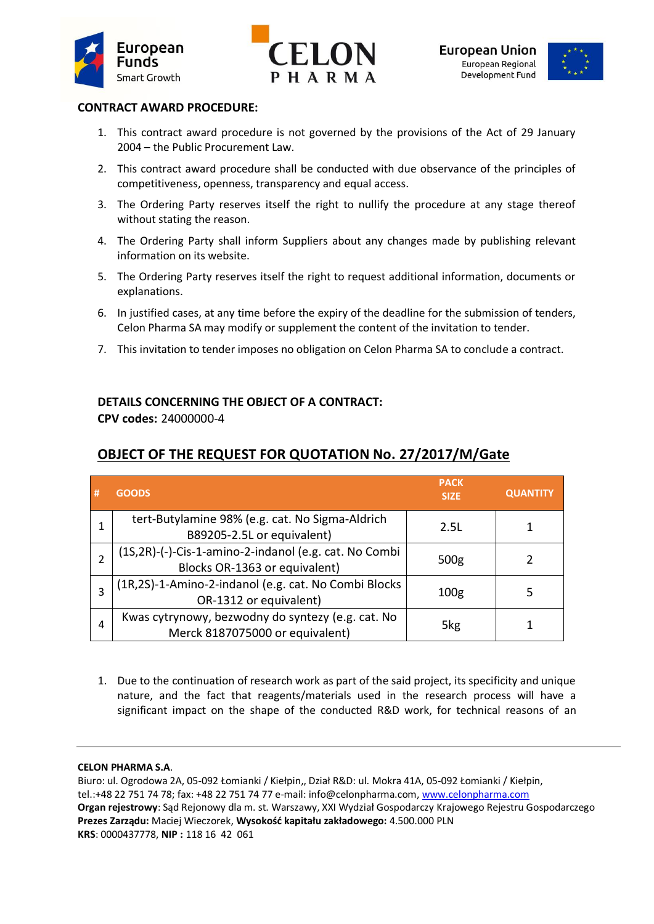





## **CONTRACT AWARD PROCEDURE:**

- 1. This contract award procedure is not governed by the provisions of the Act of 29 January 2004 – the Public Procurement Law.
- 2. This contract award procedure shall be conducted with due observance of the principles of competitiveness, openness, transparency and equal access.
- 3. The Ordering Party reserves itself the right to nullify the procedure at any stage thereof without stating the reason.
- 4. The Ordering Party shall inform Suppliers about any changes made by publishing relevant information on its website.
- 5. The Ordering Party reserves itself the right to request additional information, documents or explanations.
- 6. In justified cases, at any time before the expiry of the deadline for the submission of tenders, Celon Pharma SA may modify or supplement the content of the invitation to tender.
- 7. This invitation to tender imposes no obligation on Celon Pharma SA to conclude a contract.

## **DETAILS CONCERNING THE OBJECT OF A CONTRACT:**

**CPV codes:** 24000000-4

# **OBJECT OF THE REQUEST FOR QUOTATION No. 27/2017/M/Gate**

| # | <b>GOODS</b>                                                                           | <b>PACK</b><br><b>SIZE</b> | <b>QUANTITY</b> |
|---|----------------------------------------------------------------------------------------|----------------------------|-----------------|
| 1 | tert-Butylamine 98% (e.g. cat. No Sigma-Aldrich<br>B89205-2.5L or equivalent)          | 2.5L                       |                 |
|   | (1S,2R)-(-)-Cis-1-amino-2-indanol (e.g. cat. No Combi<br>Blocks OR-1363 or equivalent) | 500 <sub>g</sub>           |                 |
|   | (1R,2S)-1-Amino-2-indanol (e.g. cat. No Combi Blocks<br>OR-1312 or equivalent)         | 100 <sub>g</sub>           |                 |
| 4 | Kwas cytrynowy, bezwodny do syntezy (e.g. cat. No<br>Merck 8187075000 or equivalent)   | 5kg                        |                 |

1. Due to the continuation of research work as part of the said project, its specificity and unique nature, and the fact that reagents/materials used in the research process will have a significant impact on the shape of the conducted R&D work, for technical reasons of an

#### **CELON PHARMA S.A**.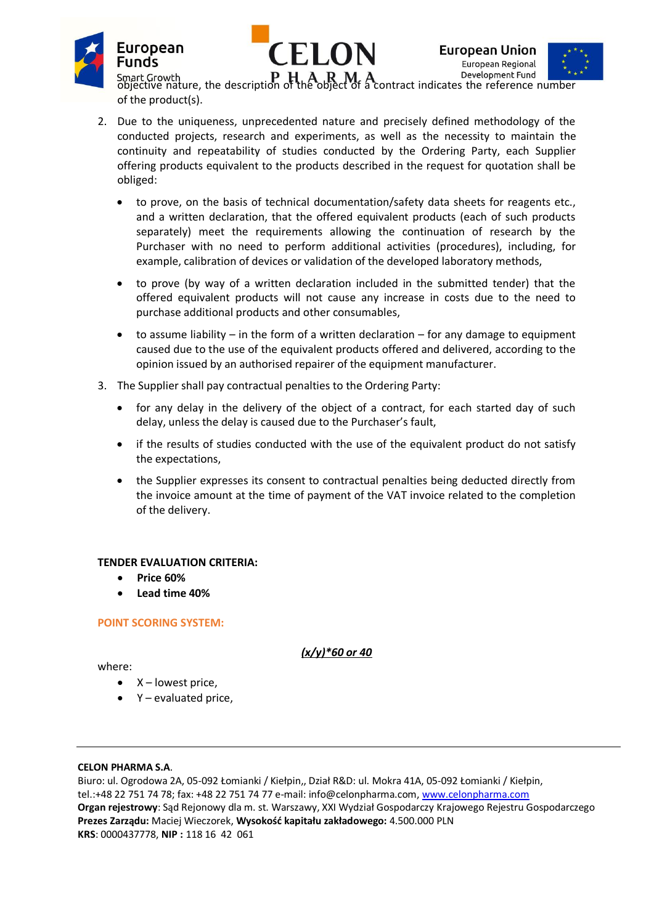





 $\mathbf{P} \mathbf{H} \mathbf{A} \mathbf{R} \mathbf{M} \mathbf{A}$  Development Fund  $\mathbf{F}^{\star}$  is a contract indicates the reference number of the product(s).

- 2. Due to the uniqueness, unprecedented nature and precisely defined methodology of the conducted projects, research and experiments, as well as the necessity to maintain the continuity and repeatability of studies conducted by the Ordering Party, each Supplier offering products equivalent to the products described in the request for quotation shall be obliged:
	- to prove, on the basis of technical documentation/safety data sheets for reagents etc., and a written declaration, that the offered equivalent products (each of such products separately) meet the requirements allowing the continuation of research by the Purchaser with no need to perform additional activities (procedures), including, for example, calibration of devices or validation of the developed laboratory methods,
	- to prove (by way of a written declaration included in the submitted tender) that the offered equivalent products will not cause any increase in costs due to the need to purchase additional products and other consumables,
	- to assume liability in the form of a written declaration for any damage to equipment caused due to the use of the equivalent products offered and delivered, according to the opinion issued by an authorised repairer of the equipment manufacturer.
- 3. The Supplier shall pay contractual penalties to the Ordering Party:
	- for any delay in the delivery of the object of a contract, for each started day of such delay, unless the delay is caused due to the Purchaser's fault,
	- if the results of studies conducted with the use of the equivalent product do not satisfy the expectations,
	- the Supplier expresses its consent to contractual penalties being deducted directly from the invoice amount at the time of payment of the VAT invoice related to the completion of the delivery.

## **TENDER EVALUATION CRITERIA:**

- **Price 60%**
- **Lead time 40%**

#### **POINT SCORING SYSTEM:**

*(x/y)\*60 or 40*

where:

- X lowest price,
- Y evaluated price,

#### **CELON PHARMA S.A**.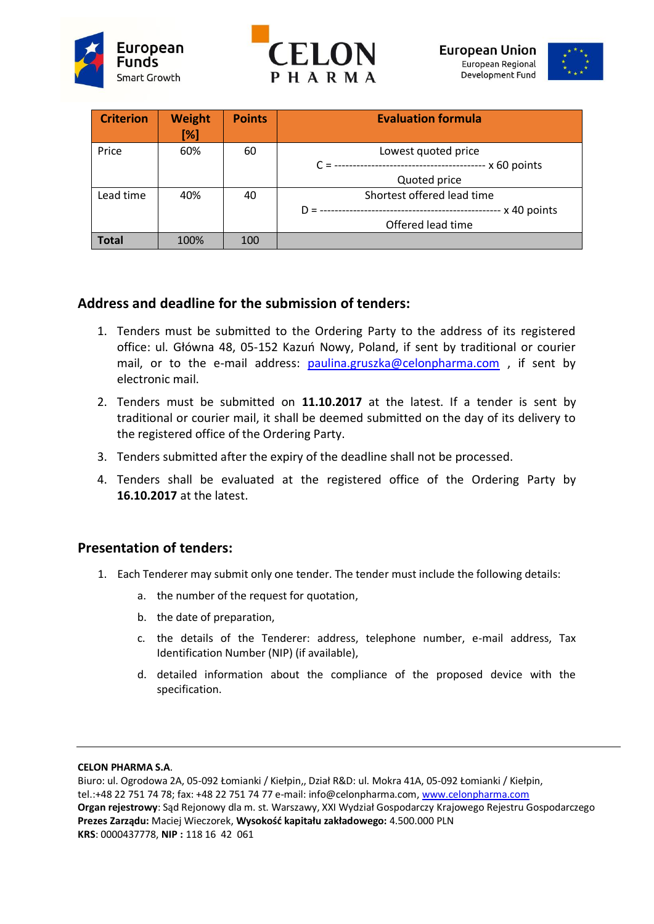





| <b>Criterion</b> | <b>Weight</b><br>$[\%]$ | <b>Points</b> | <b>Evaluation formula</b>  |
|------------------|-------------------------|---------------|----------------------------|
| Price            | 60%                     | 60            | Lowest quoted price        |
|                  |                         |               | $- x 60$ points            |
|                  |                         |               | Quoted price               |
| Lead time        | 40%                     | 40            | Shortest offered lead time |
|                  |                         |               | -- x 40 points<br>$D =$    |
|                  |                         |               | Offered lead time          |
| <b>Total</b>     | 100%                    | 100           |                            |

# **Address and deadline for the submission of tenders:**

- 1. Tenders must be submitted to the Ordering Party to the address of its registered office: ul. Główna 48, 05-152 Kazuń Nowy, Poland, if sent by traditional or courier mail, or to the e-mail address: [paulina.gruszka@celonpharma.com](mailto:paulina.gruszka@celonpharma.com) , if sent by electronic mail.
- 2. Tenders must be submitted on **11.10.2017** at the latest. If a tender is sent by traditional or courier mail, it shall be deemed submitted on the day of its delivery to the registered office of the Ordering Party.
- 3. Tenders submitted after the expiry of the deadline shall not be processed.
- 4. Tenders shall be evaluated at the registered office of the Ordering Party by **16.10.2017** at the latest.

# **Presentation of tenders:**

- 1. Each Tenderer may submit only one tender. The tender must include the following details:
	- a. the number of the request for quotation,
	- b. the date of preparation,
	- c. the details of the Tenderer: address, telephone number, e-mail address, Tax Identification Number (NIP) (if available),
	- d. detailed information about the compliance of the proposed device with the specification.

#### **CELON PHARMA S.A**.